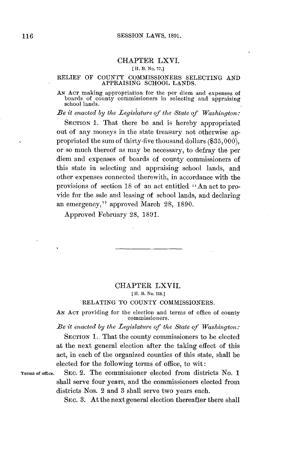## CHAPTER LXVI.

#### **[ H. B. No. 77.]**

#### RELIEF OF **COUNTY** COMMISSIONERS SELECTING **AND APPRAISING SCHOOL LANDS.**

*AN* **ACT** making appropriation for the per diem and expenses of boards of county commissioners in selecting and appraising school lands.

*Be it enacted by the Legislature of the State of Washington:*

SECTION 1. That there be and is hereby appropriated out of any moneys in the state treasury not otherwise appropriated the sum of thirty-five thousand dollars **(\$35, 000),** or so much thereof as may be necessary, to defray the per diem and expenses of boards of county commissioners of this state in selecting and appraising school lands, and other expenses connected therewith, in accordance with the provisions of section **18** of an act entitled " An act to provide for the sale and leasing of school lands, and declaring an emergency," approved March **28, 1890.**

Approved February **28, 1891.**

# CHAPTER LXVII. **[ H. B. No. 118.]**

### RELATING TO **COUNTY** COMMISSIONERS.

**AN ACT** providing for the election and terms of office of county commissioners.

*Be it enacted by the Legislature of the State of Washington.:*

SECTION 1. That the county commissioners to be elected at the next general election after the taking effect of this act, in each of the organized counties of this state, shall be elected for the following terms of office, to wit:

Terms of ofice. SEC. 2. The commissioner elected from districts No. **1** shall serve four years, and the commissioners elected from districts Nos. 2 and **3** shall serve two years each.

SEC. **3.** At the next general election thereafter there shall